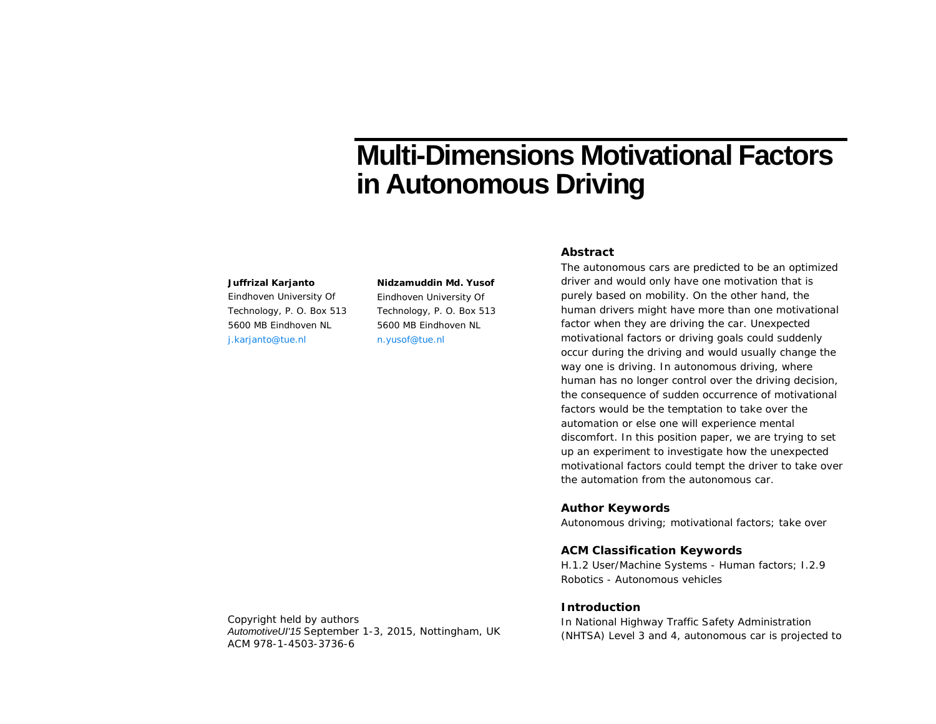# **Multi-Dimensions Motivational Factors in Autonomous Driving**

#### **Juffrizal Karjanto**

Eindhoven University Of Technology, P. O. Box 513 5600 MB Eindhoven NL j.karjanto@tue.nl

**Nidzamuddin Md. Yusof** Eindhoven University Of Technology, P. O. Box 513 5600 MB Eindhoven NL n.yusof@tue.nl

# **Abstract**

The autonomous cars are predicted to be an optimized driver and would only have one motivation that is purely based on mobility. On the other hand, the human drivers might have more than one motivational factor when they are driving the car. Unexpected motivational factors or driving goals could suddenly occur during the driving and would usually change the way one is driving. In autonomous driving, where human has no longer control over the driving decision, the consequence of sudden occurrence of motivational factors would be the temptation to take over the automation or else one will experience mental discomfort. In this position paper, we are trying to set up an experiment to investigate how the unexpected motivational factors could tempt the driver to take over the automation from the autonomous car.

### **Author Keywords**

Autonomous driving; motivational factors; take over

## **ACM Classification Keywords**

H.1.2 User/Machine Systems - Human factors; I.2.9 Robotics - Autonomous vehicles

## **Introduction**

In National Highway Traffic Safety Administration (NHTSA) Level 3 and 4, autonomous car is projected to

Copyright held by authors *AutomotiveUI'15* September 1-3, 2015, Nottingham, UK ACM 978-1-4503-3736-6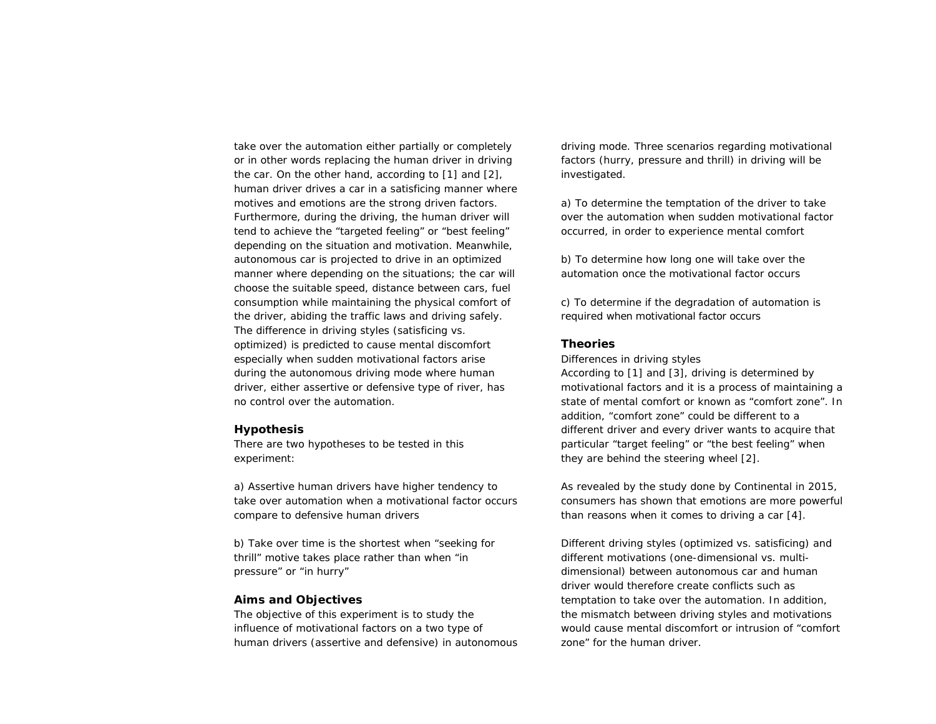take over the automation either partially or completely or in other words replacing the human driver in driving the car. On the other hand, according to [1] and [2], human driver drives a car in a satisficing manner where motives and emotions are the strong driven factors. Furthermore, during the driving, the human driver will tend to achieve the "targeted feeling" or "best feeling" depending on the situation and motivation. Meanwhile, autonomous car is projected to drive in an optimized manner where depending on the situations; the car will choose the suitable speed, distance between cars, fuel consumption while maintaining the physical comfort of the driver, abiding the traffic laws and driving safely. The difference in driving styles (satisficing vs. optimized) is predicted to cause mental discomfort especially when sudden motivational factors arise during the autonomous driving mode where human driver, either assertive or defensive type of river, has no control over the automation.

#### **Hypothesis**

There are two hypotheses to be tested in this experiment:

a) Assertive human drivers have higher tendency to take over automation when a motivational factor occurs compare to defensive human drivers

b) Take over time is the shortest when "seeking for thrill" motive takes place rather than when "in pressure" or "in hurry"

#### **Aims and Objectives**

The objective of this experiment is to study the influence of motivational factors on a two type of human drivers (assertive and defensive) in autonomous

driving mode. Three scenarios regarding motivational factors (hurry, pressure and thrill) in driving will be investigated.

a) To determine the temptation of the driver to take over the automation when sudden motivational factor occurred, in order to experience mental comfort

b) To determine how long one will take over the automation once the motivational factor occurs

c) To determine if the degradation of automation is required when motivational factor occurs

### **Theories**

*Differences in driving styles*

According to [1] and [3], driving is determined by motivational factors and it is a process of maintaining a state of mental comfort or known as "comfort zone". In addition, "comfort zone" could be different to a different driver and every driver wants to acquire that particular "target feeling" or "the best feeling" when they are behind the steering wheel [2].

As revealed by the study done by Continental in 2015, consumers has shown that emotions are more powerful than reasons when it comes to driving a car [4].

Different driving styles (optimized vs. satisficing) and different motivations (one-dimensional vs. multidimensional) between autonomous car and human driver would therefore create conflicts such as temptation to take over the automation. In addition, the mismatch between driving styles and motivations would cause mental discomfort or intrusion of "comfort zone" for the human driver.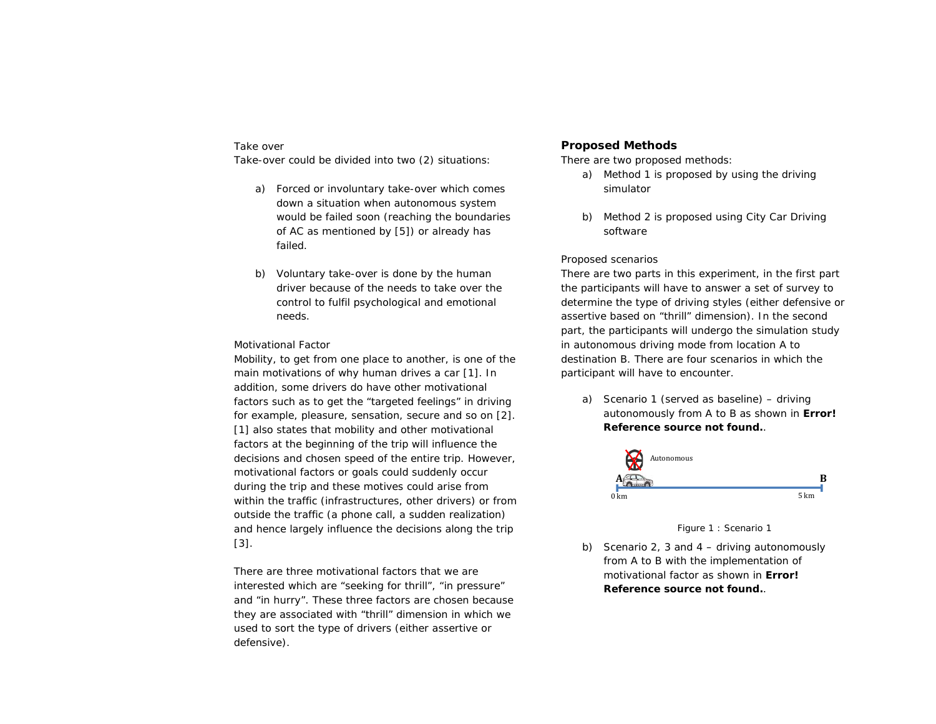## *Take over*

Take-over could be divided into two (2) situations:

- a) Forced or involuntary take-over which comes down a situation when autonomous system would be failed soon (reaching the boundaries of AC as mentioned by [5]) or already has failed.
- b) Voluntary take-over is done by the human driver because of the needs to take over the control to fulfil psychological and emotional needs.

#### *Motivational Factor*

Mobility, to get from one place to another, is one of the main motivations of why human drives a car [1]. In addition, some drivers do have other motivational factors such as to get the "targeted feelings" in driving for example, pleasure, sensation, secure and so on [2]. [1] also states that mobility and other motivational factors at the beginning of the trip will influence the decisions and chosen speed of the entire trip. However, motivational factors or goals could suddenly occur during the trip and these motives could arise from within the traffic (infrastructures, other drivers) or from outside the traffic (a phone call, a sudden realization) and hence largely influence the decisions along the trip [3].

There are three motivational factors that we are interested which are "seeking for thrill", "in pressure" and "in hurry". These three factors are chosen because they are associated with "thrill" dimension in which we used to sort the type of drivers (either assertive or defensive).

## **Proposed Methods**

There are two proposed methods:

- a) Method 1 is proposed by using the driving simulator
- b) Method 2 is proposed using City Car Driving software

### *Proposed scenarios*

There are two parts in this experiment, in the first part the participants will have to answer a set of survey to determine the type of driving styles (either defensive or assertive based on "thrill" dimension). In the second part, the participants will undergo the simulation study in autonomous driving mode from location A to destination B. There are four scenarios in which the participant will have to encounter.

a) Scenario 1 (served as baseline) – driving autonomously from A to B as shown in **Error! Reference source not found.**.



Figure 1 : Scenario 1

b) Scenario 2, 3 and 4 – driving autonomously from A to B with the implementation of motivational factor as shown in **Error! Reference source not found.**.